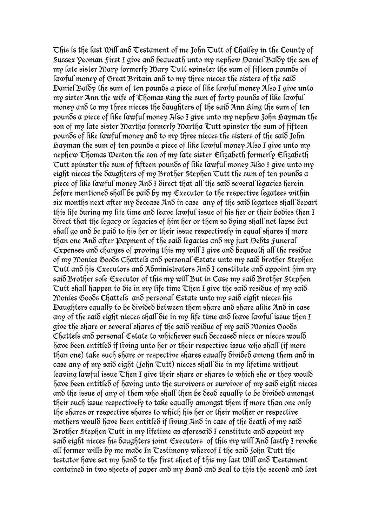This is the last Will and Testament of me John Tutt of Chailey in the County of Sussex Yeoman First I give and bequeath unto my nephew Daniel Baldy the son of my late sister Mary formerly Mary Tutt spinster the sum of fifteen pounds of lawful money of Great Britain and to my three nieces the sisters of the said Daniel Baldy the sum of ten pounds a piece of like lawful money Also I give unto my sister Ann the wife of Thomas King the sum of forty pounds of like lawful money and to my three nieces the daughters of the said Ann King the sum of ten pounds a piece of like lawful money Also I give unto my nephew John hayman the son of my late sister Martha formerly Martha Tutt spinster the sum of fifteen pounds of like lawful money and to my three nieces the sisters of the said John Hayman the sum of ten pounds a piece of like lawful money Also I give unto my nephew Thomas Weston the son of my late sister Elizabeth formerly Elizabeth Tutt spinster the sum of fifteen pounds of like lawful money Also I give unto my eight nieces the daughters of my Brother Stephen Tutt the sum of ten pounds a piece of like lawful money And I direct that all the said several legacies herein before mentiones shall be pais by my  $\epsilon$ xecutor to the respective legatees within six months next after my decease And in case any of the said legatees shall depart this life during my life time and leave lawful issue of his her or their bodies then I direct that the legacy or legacies of him her or them so dying shall not lapse but shall go and be paid to his her or their issue respectively in equal shares if more than one And after Payment of the said legacies and my just Debts Funeral  $\epsilon$ xpenses an $\delta$  charges of proving this my will I give an $\delta$  bequeath all the resi $\delta$ ue of my Monies Goods Chattels and personal Estate unto my said brother Stephen Tutt and his Executors and Administrators And I constitute and appoint him my said Brother sole Executor of this my will But in Case my said Brother Stephen Tutt shall happen to die in my life time Then I give the said residue of my said Monies Goods Chattels and personal Estate unto my said eight nieces his Daughters equally to be divided between them share and share alike And in case any of the said eight nieces shall die in my life time and leave lawful issue then I give the share or several shares of the said residue of my said Monies Goods Chattels and personal Estate to whichever such deceased niece or nieces would have been entitled if living unto her or their respective issue who shall (if more than one) take such share or respective shares equally divided among them and in case any of my said eight (John Tutt) nieces shall die in my lifetime without leaving lawful issue  $\mathcal I$  hen I give their share or shares to which she or they would have been entitled of having unto the survivors or survivor of my said eight nieces and the issue of any of them who shall then be dead equally to be divided amongst their such issue respectively to take equally amongst them if more than one only the shares or respective shares to which his her or their mother or respective mothers would have been entitled if living And in case of the death of my said Brother Stephen Tutt in my lifetime as aforesaid I constitute and appoint my said eight nieces his daughters joint Executors of this my will And lastly I revoke all former wills by me made In Testimony whereof I the said John Tutt the testator have set my hand to the first sheet of this my last Will and Testament containe $\delta$  in two sheets of paper an $\delta$  my Gan $\delta$  an $\delta$  Seal to this the secon $\delta$  an $\delta$  last